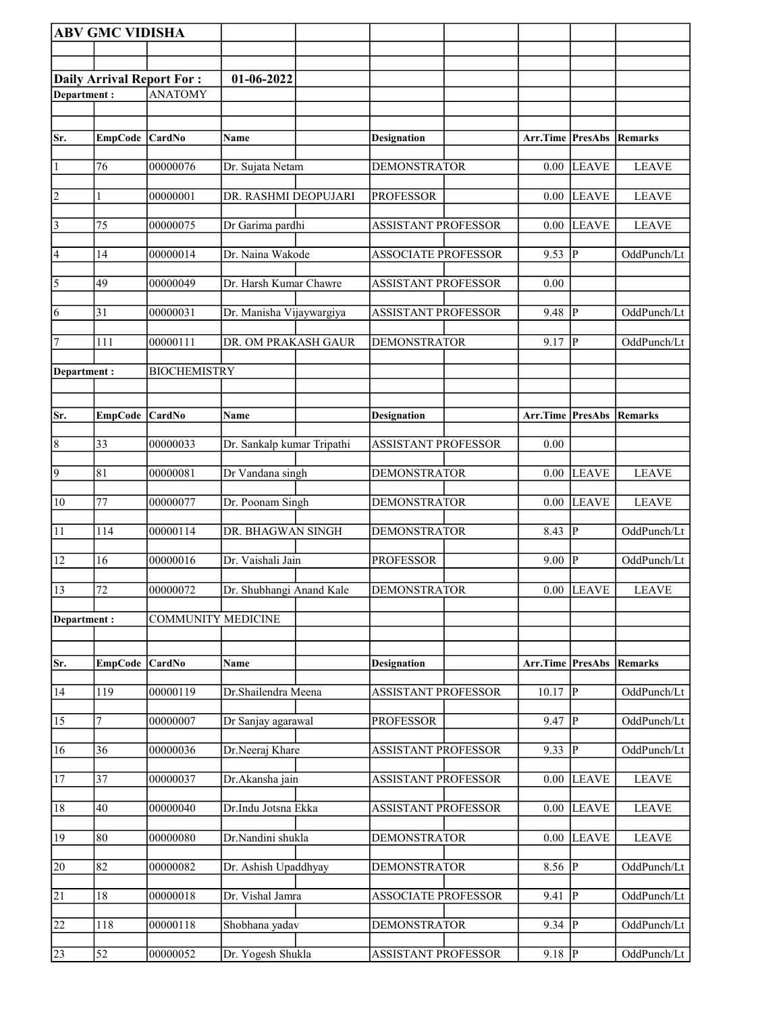|                 | <b>ABV GMC VIDISHA</b> |                           |                            |                            |                  |                         |              |
|-----------------|------------------------|---------------------------|----------------------------|----------------------------|------------------|-------------------------|--------------|
|                 |                        |                           |                            |                            |                  |                         |              |
|                 |                        | Daily Arrival Report For: | 01-06-2022                 |                            |                  |                         |              |
| Department:     |                        | <b>ANATOMY</b>            |                            |                            |                  |                         |              |
|                 |                        |                           |                            |                            |                  |                         |              |
| Sr.             | EmpCode CardNo         |                           | Name                       | Designation                | Arr.Time PresAbs |                         | Remarks      |
|                 |                        |                           |                            |                            |                  |                         |              |
| $\vert$ 1       | 76                     | 00000076                  | Dr. Sujata Netam           | <b>DEMONSTRATOR</b>        | 0.00             | LEAVE                   | <b>LEAVE</b> |
| 2               |                        | 00000001                  | DR. RASHMI DEOPUJARI       | <b>PROFESSOR</b>           | 0.00             | <b>LEAVE</b>            | <b>LEAVE</b> |
| $\vert$ 3       | 75                     | 00000075                  | Dr Garima pardhi           | <b>ASSISTANT PROFESSOR</b> | $0.00\,$         | <b>LEAVE</b>            | <b>LEAVE</b> |
| 4               | 14                     | 00000014                  | Dr. Naina Wakode           | <b>ASSOCIATE PROFESSOR</b> | 9.53             | $ {\bf p} $             | OddPunch/Lt  |
| $\overline{5}$  | 49                     | 00000049                  | Dr. Harsh Kumar Chawre     | <b>ASSISTANT PROFESSOR</b> | 0.00             |                         |              |
| $\overline{6}$  | 31                     | 00000031                  | Dr. Manisha Vijaywargiya   | <b>ASSISTANT PROFESSOR</b> | 9.48             | lР                      | OddPunch/Lt  |
| 7               | 111                    | 00000111                  | DR. OM PRAKASH GAUR        | <b>DEMONSTRATOR</b>        | 9.17             | <sup> p</sup>           | OddPunch/Lt  |
| Department:     |                        | <b>BIOCHEMISTRY</b>       |                            |                            |                  |                         |              |
|                 |                        |                           |                            |                            |                  |                         |              |
| Sr.             | <b>EmpCode</b>         | <b>CardNo</b>             | Name                       | <b>Designation</b>         | Arr.Time         | PresAbs                 | Remarks      |
|                 |                        |                           |                            |                            |                  |                         |              |
| $\overline{8}$  | 33                     | 00000033                  | Dr. Sankalp kumar Tripathi | <b>ASSISTANT PROFESSOR</b> | 0.00             |                         |              |
| $\overline{9}$  | 81                     | 00000081                  | Dr Vandana singh           | <b>DEMONSTRATOR</b>        | 0.00             | <b>LEAVE</b>            | <b>LEAVE</b> |
| 10              | 77                     | 00000077                  | Dr. Poonam Singh           | <b>DEMONSTRATOR</b>        | 0.00             | <b>LEAVE</b>            | <b>LEAVE</b> |
| 11              | 114                    | 00000114                  | DR. BHAGWAN SINGH          | <b>DEMONSTRATOR</b>        | 8.43             | P                       | OddPunch/Lt  |
| 12              | 16                     | 00000016                  | Dr. Vaishali Jain          | <b>PROFESSOR</b>           | 9.00             | P                       | OddPunch/Lt  |
| $\sqrt{13}$     | 72                     | 00000072                  | Dr. Shubhangi Anand Kale   | <b>DEMONSTRATOR</b>        |                  | $0.00$ LEAVE            | <b>LEAVE</b> |
| Department:     |                        | <b>COMMUNITY MEDICINE</b> |                            |                            |                  |                         |              |
|                 |                        |                           |                            |                            |                  |                         |              |
| Sr.             | EmpCode                | CardNo                    | Name                       | <b>Designation</b>         | Arr.Time PresAbs |                         | Remarks      |
| 14              | 119                    | 00000119                  | Dr.Shailendra Meena        | <b>ASSISTANT PROFESSOR</b> | 10.17            | P                       | OddPunch/Lt  |
| 15              | 7                      | 00000007                  | Dr Sanjay agarawal         | <b>PROFESSOR</b>           | 9.47             | P                       | OddPunch/Lt  |
| 16              | 36                     | 00000036                  | Dr.Neeraj Khare            | <b>ASSISTANT PROFESSOR</b> | 9.33             | P                       | OddPunch/Lt  |
| 17              | 37                     | 00000037                  | Dr.Akansha jain            | <b>ASSISTANT PROFESSOR</b> | 0.00             | <b>LEAVE</b>            | <b>LEAVE</b> |
| 18              | 40                     | 00000040                  | Dr.Indu Jotsna Ekka        | ASSISTANT PROFESSOR        | 0.00             | <b>LEAVE</b>            | <b>LEAVE</b> |
| 19              | 80                     | 00000080                  | Dr.Nandini shukla          | <b>DEMONSTRATOR</b>        | 0.00             | <b>LEAVE</b>            | <b>LEAVE</b> |
| 20              | 82                     | 00000082                  | Dr. Ashish Upaddhyay       | <b>DEMONSTRATOR</b>        | 8.56             | $\overline{\mathbb{P}}$ | OddPunch/Lt  |
| $\overline{21}$ | 18                     | 00000018                  | Dr. Vishal Jamra           | <b>ASSOCIATE PROFESSOR</b> | 9.41             | P                       | OddPunch/Lt  |
| 22              | 118                    | 00000118                  | Shobhana yadav             | <b>DEMONSTRATOR</b>        | 9.34             | IР                      | OddPunch/Lt  |
| 23              | 52                     | 00000052                  | Dr. Yogesh Shukla          | ASSISTANT PROFESSOR        | 9.18   $P$       |                         | OddPunch/Lt  |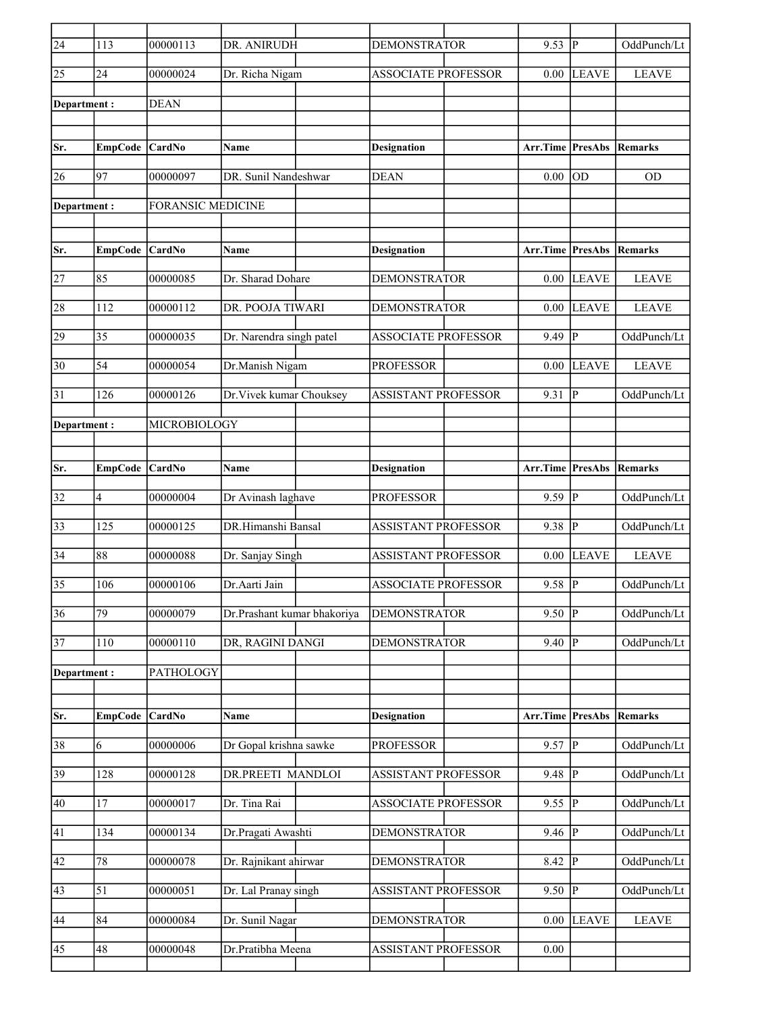| $\overline{24}$ | 113             | 00000113                 | DR. ANIRUDH                 | <b>DEMONSTRATOR</b>        | 9.53                            | lР                      | OddPunch/Lt    |
|-----------------|-----------------|--------------------------|-----------------------------|----------------------------|---------------------------------|-------------------------|----------------|
| 25              | 24              | 00000024                 | Dr. Richa Nigam             | <b>ASSOCIATE PROFESSOR</b> | 0.00                            | <b>LEAVE</b>            | <b>LEAVE</b>   |
| Department:     |                 | <b>DEAN</b>              |                             |                            |                                 |                         |                |
|                 |                 |                          |                             |                            |                                 |                         |                |
| Sr.             | EmpCode CardNo  |                          | Name                        | <b>Designation</b>         | Arr.Time PresAbs                |                         | Remarks        |
| 26              | 97              | 00000097                 | DR. Sunil Nandeshwar        | <b>DEAN</b>                | 0.00                            | lod                     | <b>OD</b>      |
| Department:     |                 | <b>FORANSIC MEDICINE</b> |                             |                            |                                 |                         |                |
|                 |                 |                          |                             |                            |                                 |                         |                |
| Sr.             | EmpCode CardNo  |                          | <b>Name</b>                 | <b>Designation</b>         | Arr.Time PresAbs                |                         | Remarks        |
|                 |                 |                          |                             |                            |                                 |                         |                |
| 27              | 85              | 00000085                 | Dr. Sharad Dohare           | DEMONSTRATOR               | 0.00                            | LEAVE                   | <b>LEAVE</b>   |
| 28              | 112             | 00000112                 | DR. POOJA TIWARI            | <b>DEMONSTRATOR</b>        | 0.00                            | <b>LEAVE</b>            | <b>LEAVE</b>   |
| 29              | 35              | 00000035                 | Dr. Narendra singh patel    | <b>ASSOCIATE PROFESSOR</b> | 9.49                            | $\overline{\mathbb{P}}$ | OddPunch/Lt    |
| 30              | 54              | 00000054                 | Dr.Manish Nigam             | <b>PROFESSOR</b>           | 0.00                            | <b>LEAVE</b>            | <b>LEAVE</b>   |
| 31              | 126             | 00000126                 | Dr. Vivek kumar Chouksey    | <b>ASSISTANT PROFESSOR</b> | 9.31                            | P                       | OddPunch/Lt    |
| Department :    |                 | MICROBIOLOGY             |                             |                            |                                 |                         |                |
|                 |                 |                          |                             |                            |                                 |                         |                |
|                 |                 |                          |                             |                            |                                 |                         |                |
| Sr.             | EmpCode CardNo  |                          | <b>Name</b>                 | <b>Designation</b>         | <b>Arr.Time PresAbs Remarks</b> |                         |                |
| 32              | 4               | 00000004                 | Dr Avinash laghave          | <b>PROFESSOR</b>           | 9.59                            | lР                      | OddPunch/Lt    |
| 33              | 125             | 00000125                 | DR.Himanshi Bansal          | <b>ASSISTANT PROFESSOR</b> | 9.38                            | $\overline{\mathbb{P}}$ | OddPunch/Lt    |
| 34              | 88              | 00000088                 | Dr. Sanjay Singh            | <b>ASSISTANT PROFESSOR</b> | 0.00                            | <b>LEAVE</b>            | <b>LEAVE</b>   |
| 35              | 106             | 00000106                 | Dr.Aarti Jain               | <b>ASSOCIATE PROFESSOR</b> | 9.58                            | P                       | OddPunch/Lt    |
| $\overline{36}$ | $\overline{79}$ | 00000079                 | Dr.Prashant kumar bhakoriya | <b>DEMONSTRATOR</b>        | 9.50                            | $\overline{P}$          | OddPunch/Lt    |
| 37              | 110             | 00000110                 | DR, RAGINI DANGI            | <b>DEMONSTRATOR</b>        | 9.40                            | P                       | OddPunch/Lt    |
| Department:     |                 | PATHOLOGY                |                             |                            |                                 |                         |                |
|                 |                 |                          |                             |                            |                                 |                         |                |
| Sr.             | <b>EmpCode</b>  | CardNo                   | Name                        | <b>Designation</b>         | Arr.Time                        | PresAbs                 | <b>Remarks</b> |
| 38              | 6               | 00000006                 | Dr Gopal krishna sawke      | <b>PROFESSOR</b>           | 9.57                            | $\overline{P}$          | OddPunch/Lt    |
|                 |                 |                          |                             |                            |                                 |                         |                |
| 39              | 128             | 00000128                 | DR.PREETI MANDLOI           | <b>ASSISTANT PROFESSOR</b> | 9.48                            | P                       | OddPunch/Lt    |
| 40              | 17              | 00000017                 | Dr. Tina Rai                | <b>ASSOCIATE PROFESSOR</b> | 9.55 P                          |                         | OddPunch/Lt    |
| 41              | 134             | 00000134                 | Dr.Pragati Awashti          | <b>DEMONSTRATOR</b>        | 9.46  P                         |                         | OddPunch/Lt    |
| 42              | $78\,$          | 00000078                 | Dr. Rajnikant ahirwar       | <b>DEMONSTRATOR</b>        | 8.42                            | P                       | OddPunch/Lt    |
| 43              | 51              | 00000051                 | Dr. Lal Pranay singh        | <b>ASSISTANT PROFESSOR</b> | 9.50                            | $ {\bf P} $             | OddPunch/Lt    |
| 44              | 84              | 00000084                 | Dr. Sunil Nagar             | <b>DEMONSTRATOR</b>        | 0.00                            | <b>LEAVE</b>            | <b>LEAVE</b>   |
| 45              | 48              | 00000048                 | Dr.Pratibha Meena           | <b>ASSISTANT PROFESSOR</b> | 0.00                            |                         |                |
|                 |                 |                          |                             |                            |                                 |                         |                |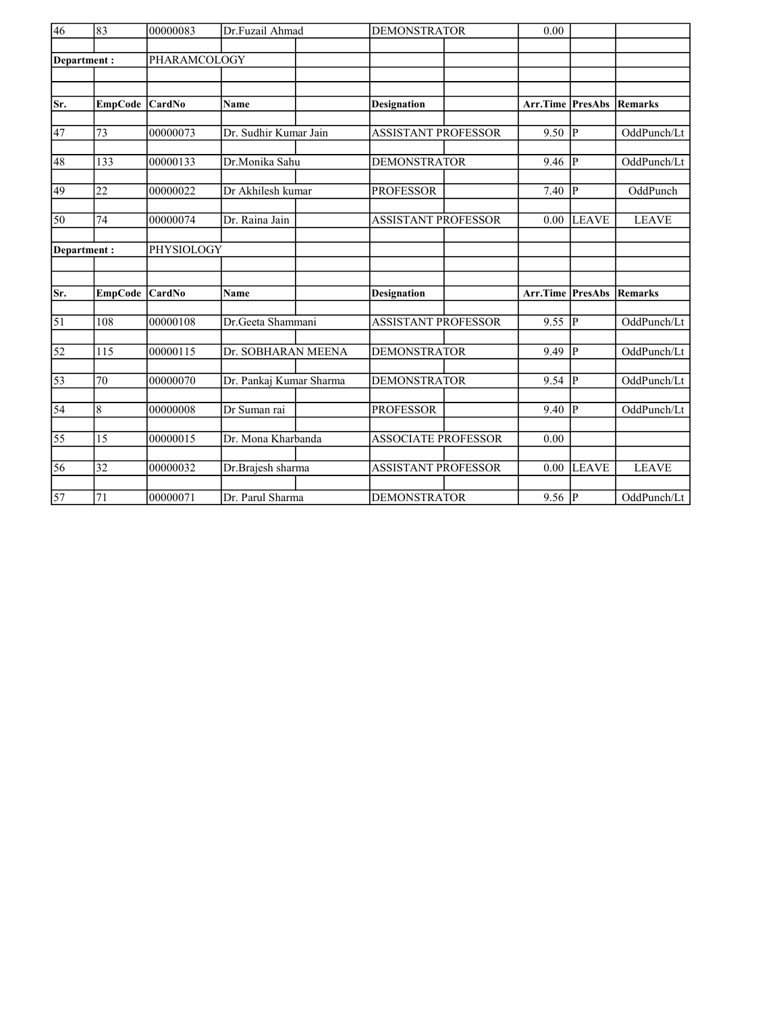| $\overline{46}$ | 83              | 00000083     | Dr.Fuzail Ahmad         |  |                            | <b>DEMONSTRATOR</b> |                       |                |              |
|-----------------|-----------------|--------------|-------------------------|--|----------------------------|---------------------|-----------------------|----------------|--------------|
| Department:     |                 | PHARAMCOLOGY |                         |  |                            |                     |                       |                |              |
|                 |                 |              |                         |  |                            |                     |                       |                |              |
|                 |                 |              |                         |  |                            |                     |                       |                |              |
| Sr.             | <b>EmpCode</b>  | CardNo       | Name                    |  | <b>Designation</b>         |                     | Arr.Time              | PresAbs        | Remarks      |
|                 |                 |              |                         |  |                            |                     |                       |                |              |
| 47              | 73              | 00000073     | Dr. Sudhir Kumar Jain   |  | <b>ASSISTANT PROFESSOR</b> |                     | 9.50 $  \overline{P}$ |                | OddPunch/Lt  |
| 48              | 133             | 00000133     | Dr.Monika Sahu          |  | <b>DEMONSTRATOR</b>        |                     | 9.46                  | P              | OddPunch/Lt  |
|                 |                 |              |                         |  |                            |                     |                       |                |              |
| 49              | $\overline{22}$ | 00000022     | Dr Akhilesh kumar       |  | <b>PROFESSOR</b>           |                     | 7.40                  | P              | OddPunch     |
|                 |                 |              |                         |  |                            |                     |                       |                |              |
| 50              | 74              | 00000074     | Dr. Raina Jain          |  | <b>ASSISTANT PROFESSOR</b> |                     | 0.00                  | <b>LEAVE</b>   | <b>LEAVE</b> |
| Department:     |                 | PHYSIOLOGY   |                         |  |                            |                     |                       |                |              |
|                 |                 |              |                         |  |                            |                     |                       |                |              |
|                 |                 |              |                         |  |                            |                     |                       |                |              |
| Sr.             | <b>EmpCode</b>  | CardNo       | Name                    |  | <b>Designation</b>         |                     | Arr.Time              | <b>PresAbs</b> | Remarks      |
| $\vert$ 51      | 108             | 00000108     | Dr.Geeta Shammani       |  | <b>ASSISTANT PROFESSOR</b> |                     | 9.55                  | p              | OddPunch/Lt  |
|                 |                 |              |                         |  |                            |                     |                       |                |              |
| 52              | 115             | 00000115     | Dr. SOBHARAN MEENA      |  | <b>DEMONSTRATOR</b>        |                     | 9.49                  | lр             | OddPunch/Lt  |
| 53              | 70              | 00000070     | Dr. Pankaj Kumar Sharma |  | <b>DEMONSTRATOR</b>        |                     | 9.54                  | p              | OddPunch/Lt  |
|                 |                 |              |                         |  |                            |                     |                       |                |              |
| $\overline{54}$ | $\overline{8}$  | 00000008     | Dr Suman rai            |  | <b>PROFESSOR</b>           |                     | 9.40                  | P              | OddPunch/Lt  |
|                 |                 |              |                         |  |                            |                     |                       |                |              |
| 55              | 15              | 00000015     | Dr. Mona Kharbanda      |  | <b>ASSOCIATE PROFESSOR</b> |                     | 0.00                  |                |              |
| 56              | 32              | 00000032     | Dr.Brajesh sharma       |  | <b>ASSISTANT PROFESSOR</b> |                     | 0.00                  | <b>LEAVE</b>   | <b>LEAVE</b> |
|                 |                 |              |                         |  |                            |                     |                       |                |              |
| $\overline{57}$ | 71              | 00000071     | Dr. Parul Sharma        |  | <b>DEMONSTRATOR</b>        |                     | 9.56 $ P $            |                | OddPunch/Lt  |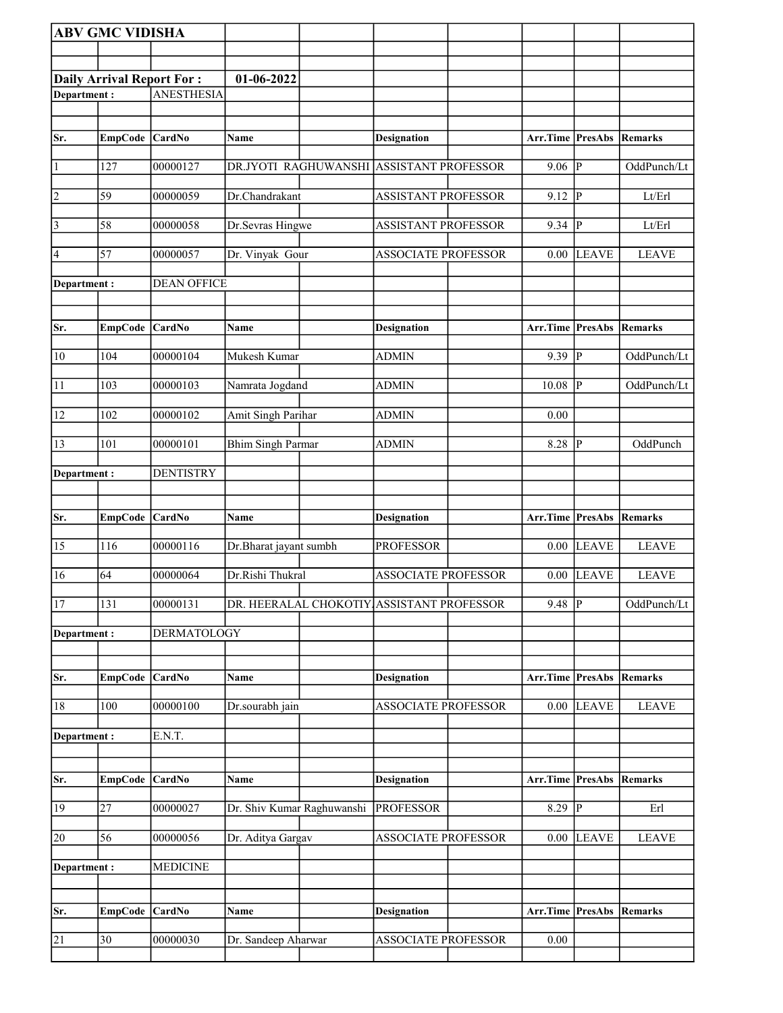| <b>ABV GMC VIDISHA</b> |                                  |                    |                            |                                           |                  |                         |              |
|------------------------|----------------------------------|--------------------|----------------------------|-------------------------------------------|------------------|-------------------------|--------------|
|                        |                                  |                    |                            |                                           |                  |                         |              |
|                        | <b>Daily Arrival Report For:</b> |                    | 01-06-2022                 |                                           |                  |                         |              |
| Department:            |                                  | <b>ANESTHESIA</b>  |                            |                                           |                  |                         |              |
|                        |                                  |                    |                            |                                           |                  |                         |              |
| Sr.                    | <b>EmpCode</b>                   | CardNo             | Name                       | <b>Designation</b>                        | Arr.Time PresAbs |                         | Remarks      |
| $\vert$ 1              | 127                              | 00000127           |                            | DR.JYOTI RAGHUWANSHI ASSISTANT PROFESSOR  | 9.06             | $\overline{P}$          | OddPunch/Lt  |
| 2                      | 59                               | 00000059           | Dr.Chandrakant             | ASSISTANT PROFESSOR                       | 9.12             | $\overline{P}$          | Lt/Erl       |
| $\vert$ 3              | 58                               | 00000058           | Dr.Sevras Hingwe           | <b>ASSISTANT PROFESSOR</b>                | 9.34             | $\overline{P}$          | Lt/Erl       |
| 4                      | 57                               | 00000057           | Dr. Vinyak Gour            | <b>ASSOCIATE PROFESSOR</b>                | 0.00             | <b>LEAVE</b>            | <b>LEAVE</b> |
| Department :           |                                  | <b>DEAN OFFICE</b> |                            |                                           |                  |                         |              |
| Sr.                    | <b>EmpCode</b>                   | <b>CardNo</b>      | Name                       | <b>Designation</b>                        | Arr.Time         | <b>PresAbs</b>          | Remarks      |
| $ 10\rangle$           | 104                              | 00000104           | Mukesh Kumar               | <b>ADMIN</b>                              | $9.39$ P         |                         | OddPunch/Lt  |
| 11                     | 103                              | 00000103           | Namrata Jogdand            | ADMIN                                     | 10.08            | P                       | OddPunch/Lt  |
| 12                     | 102                              | 00000102           | Amit Singh Parihar         | ADMIN                                     | 0.00             |                         |              |
| 13                     | 101                              | 00000101           | <b>Bhim Singh Parmar</b>   | <b>ADMIN</b>                              | 8.28             | $\overline{\mathbf{P}}$ | OddPunch     |
| Department :           |                                  | <b>DENTISTRY</b>   |                            |                                           |                  |                         |              |
| Sr.                    | EmpCode CardNo                   |                    | <b>Name</b>                | <b>Designation</b>                        | Arr.Time PresAbs |                         | Remarks      |
| 15                     | 116                              | 00000116           | Dr.Bharat jayant sumbh     | <b>PROFESSOR</b>                          | 0.00             | LEAVE                   | <b>LEAVE</b> |
| 16                     | 64                               | 00000064           | Dr.Rishi Thukral           | <b>ASSOCIATE PROFESSOR</b>                | 0.00             | <b>LEAVE</b>            | <b>LEAVE</b> |
| 17                     | 131                              | 00000131           |                            | DR. HEERALAL CHOKOTIY ASSISTANT PROFESSOR | $9.48$ P         |                         | OddPunch/Lt  |
| Department:            |                                  | <b>DERMATOLOGY</b> |                            |                                           |                  |                         |              |
| Sr.                    | <b>EmpCode</b>                   | <b>CardNo</b>      | Name                       | <b>Designation</b>                        | Arr.Time PresAbs |                         | Remarks      |
| 18                     | 100                              | 00000100           | Dr.sourabh jain            | <b>ASSOCIATE PROFESSOR</b>                | 0.00             | <b>LEAVE</b>            | <b>LEAVE</b> |
| Department :           |                                  | E.N.T.             |                            |                                           |                  |                         |              |
|                        |                                  |                    |                            |                                           |                  |                         |              |
| Sr.                    | <b>EmpCode</b>                   | <b>CardNo</b>      | Name                       | <b>Designation</b>                        | Arr.Time         | <b>PresAbs</b>          | Remarks      |
| 19                     | 27                               | 00000027           | Dr. Shiv Kumar Raghuwanshi | <b>PROFESSOR</b>                          | $8.29$ P         |                         | Erl          |
| 20                     | 56                               | 00000056           | Dr. Aditya Gargav          | <b>ASSOCIATE PROFESSOR</b>                | 0.00             | <b>LEAVE</b>            | <b>LEAVE</b> |
| Department:            |                                  | <b>MEDICINE</b>    |                            |                                           |                  |                         |              |
|                        |                                  |                    |                            |                                           |                  |                         |              |
| Sr.                    | <b>EmpCode</b>                   | <b>CardNo</b>      | Name                       | <b>Designation</b>                        | Arr.Time         | <b>PresAbs</b>          | Remarks      |
| 21                     | $\overline{30}$                  | 00000030           | Dr. Sandeep Aharwar        | <b>ASSOCIATE PROFESSOR</b>                | 0.00             |                         |              |
|                        |                                  |                    |                            |                                           |                  |                         |              |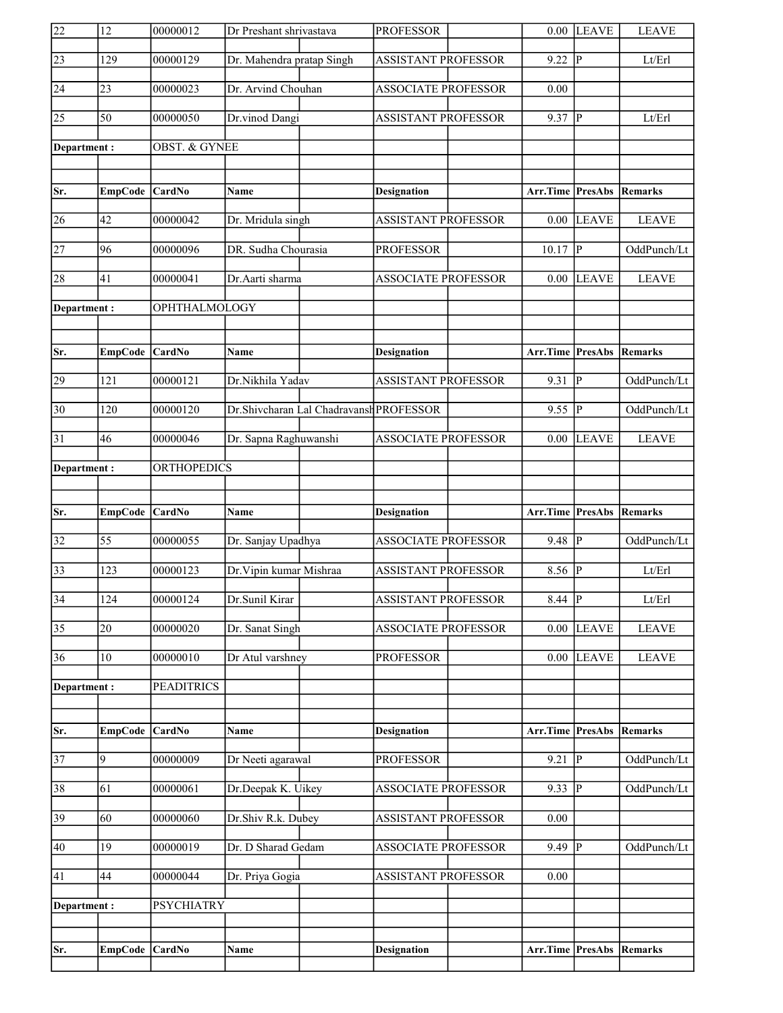| 22              | 12               | 00000012                 | Dr Preshant shrivastava                 | <b>PROFESSOR</b>           | 0.00                            | <b>LEAVE</b> | <b>LEAVE</b> |
|-----------------|------------------|--------------------------|-----------------------------------------|----------------------------|---------------------------------|--------------|--------------|
| $\sqrt{23}$     | 129              | 00000129                 | Dr. Mahendra pratap Singh               | <b>ASSISTANT PROFESSOR</b> | 9.22                            | lР           | Lt/Erl       |
| $\overline{24}$ | 23               | 00000023                 | Dr. Arvind Chouhan                      | <b>ASSOCIATE PROFESSOR</b> | 0.00                            |              |              |
| 25              | 50               | 00000050                 | Dr.vinod Dangi                          | <b>ASSISTANT PROFESSOR</b> | 9.37                            | P            | Lt/Erl       |
| Department:     |                  | <b>OBST. &amp; GYNEE</b> |                                         |                            |                                 |              |              |
|                 |                  |                          |                                         |                            |                                 |              |              |
| Sr.             | <b>EmpCode</b>   | <b>CardNo</b>            | Name                                    | <b>Designation</b>         | Arr.Time PresAbs                |              | Remarks      |
| 26              | 42               | 00000042                 | Dr. Mridula singh                       | <b>ASSISTANT PROFESSOR</b> | 0.00                            | <b>LEAVE</b> | <b>LEAVE</b> |
| 27              | 96               | 00000096                 | DR. Sudha Chourasia                     | <b>PROFESSOR</b>           | 10.17                           | P            | OddPunch/Lt  |
| 28              | 41               | 00000041                 | Dr.Aarti sharma                         | <b>ASSOCIATE PROFESSOR</b> | $0.00\,$                        | <b>LEAVE</b> | <b>LEAVE</b> |
| Department:     |                  | OPHTHALMOLOGY            |                                         |                            |                                 |              |              |
|                 |                  |                          |                                         |                            |                                 |              |              |
| Sr.             | <b>EmpCode</b>   | <b>CardNo</b>            | Name                                    | <b>Designation</b>         | Arr.Time PresAbs                |              | Remarks      |
| 29              | 121              | 00000121                 | Dr.Nikhila Yadav                        | <b>ASSISTANT PROFESSOR</b> | 9.31                            | P            | OddPunch/Lt  |
| $\overline{30}$ | 120              | 00000120                 | Dr.Shivcharan Lal Chadravansh PROFESSOR |                            | 9.55                            | P            | OddPunch/Lt  |
| 31              | 46               | 00000046                 | Dr. Sapna Raghuwanshi                   | <b>ASSOCIATE PROFESSOR</b> | 0.00                            | <b>LEAVE</b> | <b>LEAVE</b> |
| Department:     |                  | ORTHOPEDICS              |                                         |                            |                                 |              |              |
|                 |                  |                          |                                         |                            |                                 |              |              |
|                 |                  |                          |                                         |                            |                                 |              |              |
| Sr.             | <b>EmpCode</b>   | <b>CardNo</b>            | <b>Name</b>                             | <b>Designation</b>         | <b>Arr.Time PresAbs Remarks</b> |              |              |
| 32              | 55               | 00000055                 | Dr. Sanjay Upadhya                      | <b>ASSOCIATE PROFESSOR</b> | 9.48                            | P            | OddPunch/Lt  |
| 33              | 123              | 00000123                 | Dr. Vipin kumar Mishraa                 | <b>ASSISTANT PROFESSOR</b> | 8.56 $ P $                      |              | Lt/Erl       |
| $\overline{34}$ | $\overline{124}$ | 00000124                 | Dr.Sunil Kirar                          | <b>ASSISTANT PROFESSOR</b> | $8.44$ P                        |              | Lt/Erl       |
| $\overline{35}$ | 20               | 00000020                 | Dr. Sanat Singh                         | <b>ASSOCIATE PROFESSOR</b> | 0.00                            | <b>LEAVE</b> | <b>LEAVE</b> |
| 36              | 10               | 00000010                 | Dr Atul varshney                        | <b>PROFESSOR</b>           | 0.00                            | <b>LEAVE</b> | <b>LEAVE</b> |
| Department:     |                  | <b>PEADITRICS</b>        |                                         |                            |                                 |              |              |
|                 |                  |                          |                                         |                            |                                 |              |              |
| Sr.             | <b>EmpCode</b>   | <b>CardNo</b>            | <b>Name</b>                             | <b>Designation</b>         | Arr.Time PresAbs                |              | Remarks      |
| 37              | 9                | 00000009                 | Dr Neeti agarawal                       | <b>PROFESSOR</b>           | 9.21                            | P            | OddPunch/Lt  |
| $\overline{38}$ | 61               | 00000061                 | Dr.Deepak K. Uikey                      | ASSOCIATE PROFESSOR        | 9.33                            | P            | OddPunch/Lt  |
| 39              | 60               | 00000060                 | Dr.Shiv R.k. Dubey                      | <b>ASSISTANT PROFESSOR</b> | 0.00                            |              |              |
| 40              | 19               | 00000019                 | Dr. D Sharad Gedam                      | <b>ASSOCIATE PROFESSOR</b> | 9.49 $ P $                      |              | OddPunch/Lt  |
| 41              | 44               | 00000044                 | Dr. Priya Gogia                         | <b>ASSISTANT PROFESSOR</b> | 0.00                            |              |              |
| Department :    |                  | <b>PSYCHIATRY</b>        |                                         |                            |                                 |              |              |
|                 |                  |                          |                                         |                            |                                 |              |              |